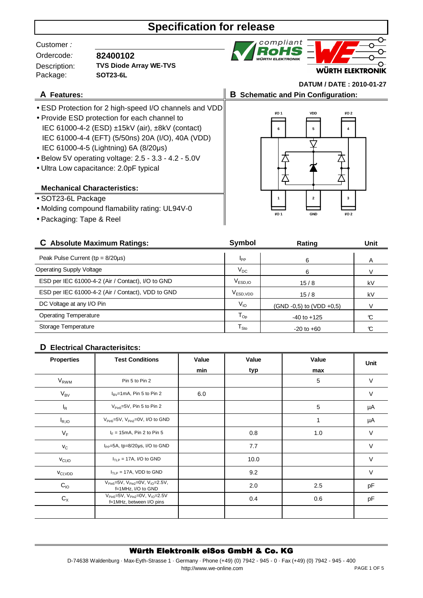### Customer :

Ordercode: Description: Package:

**TVS Diode Array WE-TVS 82400102 SOT23-6L**



## **DATUM / DATE : 2010-01-27**

- **A Features: B Schematic and Pin Configuration:**
- ESD Protection for 2 high-speed I/O channels and VDD
- Provide ESD protection for each channel to IEC 61000-4-5 (Lightning) 6A (8/20µs) IEC 61000-4-2 (ESD) ±15kV (air), ±8kV (contact) IEC 61000-4-4 (EFT) (5/50ns) 20A (I/O), 40A (VDD)
- Below 5V operating voltage: 2.5 3.3 4.2 5.0V
- Ultra Low capacitance: 2.0pF typical

#### **Mechanical Characteristics:**

- SOT23-6L Package
- Molding compound flamability rating: UL94V-0
- Packaging: Tape & Reel



| <b>C</b> Absolute Maximum Ratings:                | Symbol                                   | Rating                   | <b>Unit</b> |
|---------------------------------------------------|------------------------------------------|--------------------------|-------------|
| Peak Pulse Current ( $tp = 8/20\mu s$ )           | I <sub>PP</sub>                          | 6                        | A           |
| <b>Operating Supply Voltage</b>                   | $V_{DC}$                                 | 6                        |             |
| ESD per IEC 61000-4-2 (Air / Contact), I/O to GND | $V_{ESD,IO}$                             | 15/8                     | kV          |
| ESD per IEC 61000-4-2 (Air / Contact), VDD to GND | $\mathsf{V}_{\mathsf{ESD},\mathsf{VDD}}$ | 15/8                     | kV          |
| DC Voltage at any I/O Pin                         | $V_{IO}$                                 | (GND -0,5) to (VDD +0,5) |             |
| <b>Operating Temperature</b>                      | $T_{\text{Op}}$                          | $-40$ to $+125$          | C           |
| Storage Temperature                               | $T_{\rm Sto}$                            | $-20$ to $+60$           | C.          |
|                                                   |                                          |                          |             |

#### **D Electrical Characterisitcs:**

| <b>Properties</b>    | <b>Test Conditions</b>                                                                           | Value | Value | Value | <b>Unit</b> |
|----------------------|--------------------------------------------------------------------------------------------------|-------|-------|-------|-------------|
|                      |                                                                                                  | min   | typ   | max   |             |
| $V_{RWM}$            | Pin 5 to Pin 2                                                                                   |       |       | 5     | V           |
| $V_{BV}$             | $I_{BV}$ =1mA, Pin 5 to Pin 2                                                                    | 6.0   |       |       | V           |
| $I_R$                | V <sub>Pin5</sub> =5V, Pin 5 to Pin 2                                                            |       |       | 5     | μA          |
| $I_{R,IO}$           | $V_{\text{Pin5}} = 5V$ , $V_{\text{Pin2}} = 0V$ , I/O to GND                                     |       |       |       | μA          |
| $V_F$                | $I_F = 15$ mA, Pin 2 to Pin 5                                                                    |       | 0.8   | 1.0   | V           |
| $V_C$                | $I_{PP}$ =5A, tp=8/20 $\mu$ s, I/O to GND                                                        |       | 7.7   |       | $\vee$      |
| $V_{\text{Cl,IO}}$   | $ITLP = 17A$ , I/O to GND                                                                        |       | 10.0  |       | V           |
| V <sub>CI, VDD</sub> | $ITLP = 17A$ , VDD to GND                                                                        |       | 9.2   |       | V           |
| $C_{10}$             | $V_{\text{Pin5}} = 5V$ , $V_{\text{Pin2}} = 0V$ , $V_{\text{IO}} = 2.5V$ ,<br>f=1MHz, I/O to GND |       | 2.0   | 2.5   | pF          |
| $C_{X}$              | $V_{Pin5} = 5V$ , $V_{Pin2} = 0V$ , $V_{IO} = 2.5V$<br>f=1MHz, between I/O pins                  |       | 0.4   | 0.6   | pF          |
|                      |                                                                                                  |       |       |       |             |

#### Würth Elektronik eiSos GmbH & Co. KG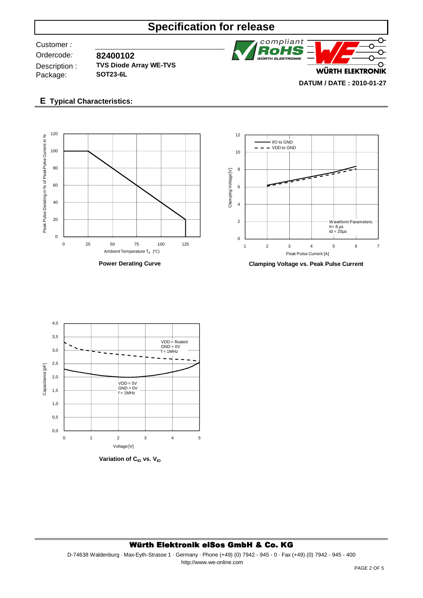Customer :

Ordercode: Description :

Package:

**TVS Diode Array WE-TVS SOT23-6L 82400102**

Ō compliant ioHS  $\Omega$ WÜRTH ELEKTRONIK  $\Omega$ **WÜRTH ELEKTRONIK DATUM / DATE : 2010-01-27**

### **E Typical Characteristics:**





**Clamping Voltage vs. Peak Pulse Current**



### Würth Elektronik eiSos GmbH & Co. KG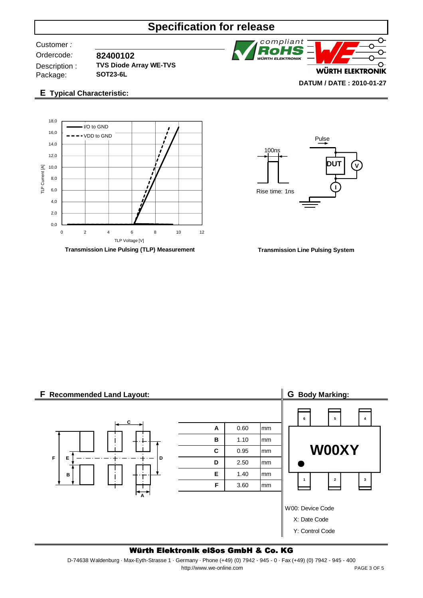Customer :

Ordercode: Description :

Package:

**82400102 SOT23-6L TVS Diode Array WE-TVS**



### **E Typical Characteristic:**







#### Würth Elektronik eiSos GmbH & Co. KG

 http://www.we-online.com D-74638 Waldenburg · Max-Eyth-Strasse 1 · Germany · Phone (+49) (0) 7942 - 945 - 0 · Fax (+49) (0) 7942 - 945 - 400 PAGE 3 OF 5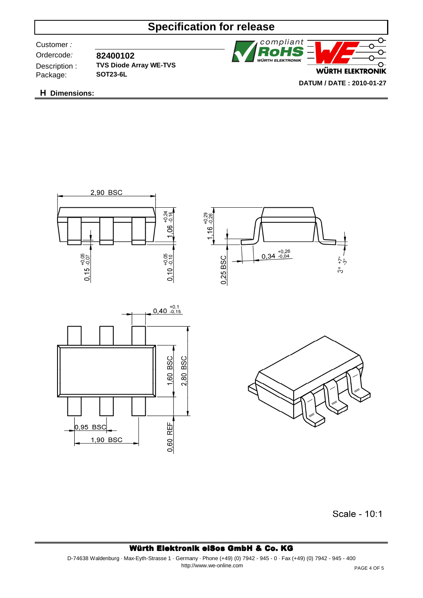Customer :

Ordercode: Description : Package:

**82400102 TVS Diode Array WE-TVS SOT23-6L**



**H Dimensions:**



Scale - 10:1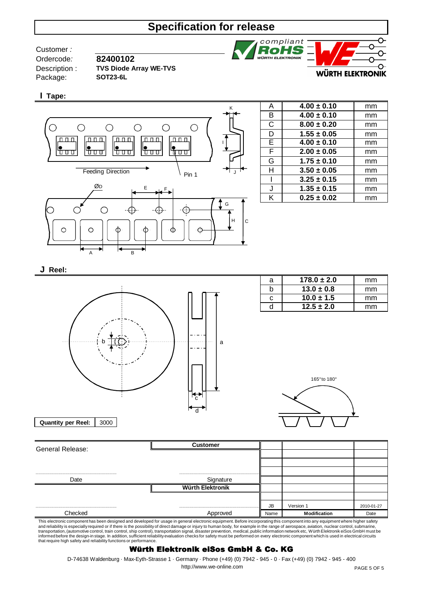Customer : Ordercode:

Description : Package:

**82400102 TVS Diode Array WE-TVS**





**SOT23-6L**

### **I Tape:**



| A | $4.00 \pm 0.10$ | mm |
|---|-----------------|----|
| B | $4.00 \pm 0.10$ | mm |
| C | $8.00 \pm 0.20$ | mm |
| D | $1.55 \pm 0.05$ | mm |
| E | $4.00 \pm 0.10$ | mm |
| F | $2.00 \pm 0.05$ | mm |
| G | $1.75 \pm 0.10$ | mm |
| н | $3.50 \pm 0.05$ | mm |
|   | $3.25 \pm 0.15$ | mm |
| J | $1.35 \pm 0.15$ | mm |
| ĸ | $0.25 \pm 0.02$ | mm |

### **J Reel:**



| a  | $178.0 \pm 2.0$ | mm |
|----|-----------------|----|
| n  | $13.0 \pm 0.8$  | mm |
| C. | $10.0 \pm 1.5$  | mm |
|    | $12.5 \pm 2.0$  | mm |



JB Version 1 2010-01-27 Name **Modification** Date General Release: Checked **Approved** .................................................................................. .................................................................................. Date Signature Signature .................................................................................. .................................................................................. **Würth Elektronik**

This electronic component has been designed and developed for usage in general electronic equipment. Before incorporating this component into any equipment where higher safety<br>and reliability is especially required or if t transportation, (automotive control, train control, ship control), transportation signal, disaster prevention, medical, public information network etc, Würth Elektronik eiSos GmbH must be<br>informed before the design-in stag

#### Würth Elektronik eiSos GmbH & Co. KG

 http://www.we-online.com D-74638 Waldenburg · Max-Eyth-Strasse 1 · Germany · Phone (+49) (0) 7942 - 945 - 0 · Fax (+49) (0) 7942 - 945 - 400